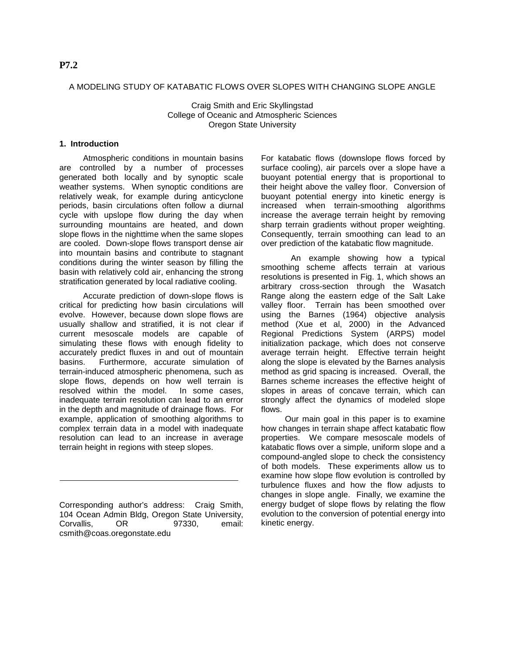### A MODELING STUDY OF KATABATIC FLOWS OVER SLOPES WITH CHANGING SLOPE ANGLE

Craig Smith and Eric Skyllingstad College of Oceanic and Atmospheric Sciences Oregon State University

## **1. Introduction**

Atmospheric conditions in mountain basins are controlled by a number of processes generated both locally and by synoptic scale weather systems. When synoptic conditions are relatively weak, for example during anticyclone periods, basin circulations often follow a diurnal cycle with upslope flow during the day when surrounding mountains are heated, and down slope flows in the nighttime when the same slopes are cooled. Down-slope flows transport dense air into mountain basins and contribute to stagnant conditions during the winter season by filling the basin with relatively cold air, enhancing the strong stratification generated by local radiative cooling.

Accurate prediction of down-slope flows is critical for predicting how basin circulations will evolve. However, because down slope flows are usually shallow and stratified, it is not clear if current mesoscale models are capable of simulating these flows with enough fidelity to accurately predict fluxes in and out of mountain basins. Furthermore, accurate simulation of terrain-induced atmospheric phenomena, such as slope flows, depends on how well terrain is resolved within the model. In some cases, inadequate terrain resolution can lead to an error in the depth and magnitude of drainage flows. For example, application of smoothing algorithms to complex terrain data in a model with inadequate resolution can lead to an increase in average terrain height in regions with steep slopes.

Corresponding author's address: Craig Smith, 104 Ocean Admin Bldg, Oregon State University, Corvallis, OR 97330, email: csmith@coas.oregonstate.edu

For katabatic flows (downslope flows forced by surface cooling), air parcels over a slope have a buoyant potential energy that is proportional to their height above the valley floor. Conversion of buoyant potential energy into kinetic energy is increased when terrain-smoothing algorithms increase the average terrain height by removing sharp terrain gradients without proper weighting. Consequently, terrain smoothing can lead to an over prediction of the katabatic flow magnitude.

 An example showing how a typical smoothing scheme affects terrain at various resolutions is presented in Fig. 1, which shows an arbitrary cross-section through the Wasatch Range along the eastern edge of the Salt Lake valley floor. Terrain has been smoothed over using the Barnes (1964) objective analysis method (Xue et al, 2000) in the Advanced Regional Predictions System (ARPS) model initialization package, which does not conserve average terrain height. Effective terrain height along the slope is elevated by the Barnes analysis method as grid spacing is increased. Overall, the Barnes scheme increases the effective height of slopes in areas of concave terrain, which can strongly affect the dynamics of modeled slope flows.

Our main goal in this paper is to examine how changes in terrain shape affect katabatic flow properties. We compare mesoscale models of katabatic flows over a simple, uniform slope and a compound-angled slope to check the consistency of both models. These experiments allow us to examine how slope flow evolution is controlled by turbulence fluxes and how the flow adjusts to changes in slope angle. Finally, we examine the energy budget of slope flows by relating the flow evolution to the conversion of potential energy into kinetic energy.

# **P7.2**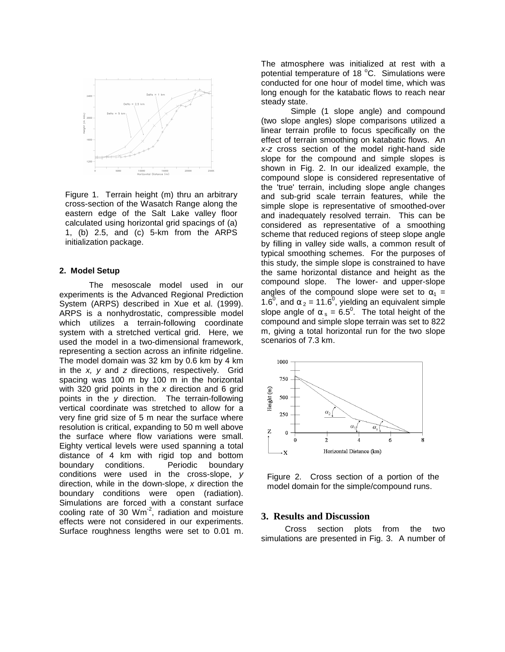

Figure 1. Terrain height (m) thru an arbitrary cross-section of the Wasatch Range along the eastern edge of the Salt Lake valley floor calculated using horizontal grid spacings of (a) 1, (b) 2.5, and (c) 5-km from the ARPS initialization package.

#### **2. Model Setup**

The mesoscale model used in our experiments is the Advanced Regional Prediction System (ARPS) described in Xue et al. (1999). ARPS is a nonhydrostatic, compressible model which utilizes a terrain-following coordinate system with a stretched vertical grid. Here, we used the model in a two-dimensional framework, representing a section across an infinite ridgeline. The model domain was 32 km by 0.6 km by 4 km in the  $x$ ,  $y$  and  $z$  directions, respectively. Grid spacing was 100 m by 100 m in the horizontal with 320 grid points in the  $x$  direction and 6 grid points in the y direction. The terrain-following vertical coordinate was stretched to allow for a very fine grid size of 5 m near the surface where resolution is critical, expanding to 50 m well above the surface where flow variations were small. Eighty vertical levels were used spanning a total distance of 4 km with rigid top and bottom boundary conditions. Periodic boundary conditions were used in the cross-slope, y direction, while in the down-slope, x direction the boundary conditions were open (radiation). Simulations are forced with a constant surface cooling rate of 30  $Wm<sup>-2</sup>$ , radiation and moisture effects were not considered in our experiments. Surface roughness lengths were set to 0.01 m. The atmosphere was initialized at rest with a potential temperature of 18 °C. Simulations were conducted for one hour of model time, which was long enough for the katabatic flows to reach near steady state.

Simple (1 slope angle) and compound (two slope angles) slope comparisons utilized a linear terrain profile to focus specifically on the effect of terrain smoothing on katabatic flows. An x-z cross section of the model right-hand side slope for the compound and simple slopes is shown in Fig. 2. In our idealized example, the compound slope is considered representative of the 'true' terrain, including slope angle changes and sub-grid scale terrain features, while the simple slope is representative of smoothed-over and inadequately resolved terrain. This can be considered as representative of a smoothing scheme that reduced regions of steep slope angle by filling in valley side walls, a common result of typical smoothing schemes. For the purposes of this study, the simple slope is constrained to have the same horizontal distance and height as the compound slope. The lower- and upper-slope angles of the compound slope were set to  $\alpha_1$  = 1.6<sup>0</sup>, and  $\alpha_2$  = 11.6<sup>0</sup>, yielding an equivalent simple slope angle of  $\alpha_s = 6.5^\circ$ . The total height of the compound and simple slope terrain was set to 822 m, giving a total horizontal run for the two slope scenarios of 7.3 km.



Figure 2. Cross section of a portion of the model domain for the simple/compound runs.

### **3. Results and Discussion**

Cross section plots from the two simulations are presented in Fig. 3. A number of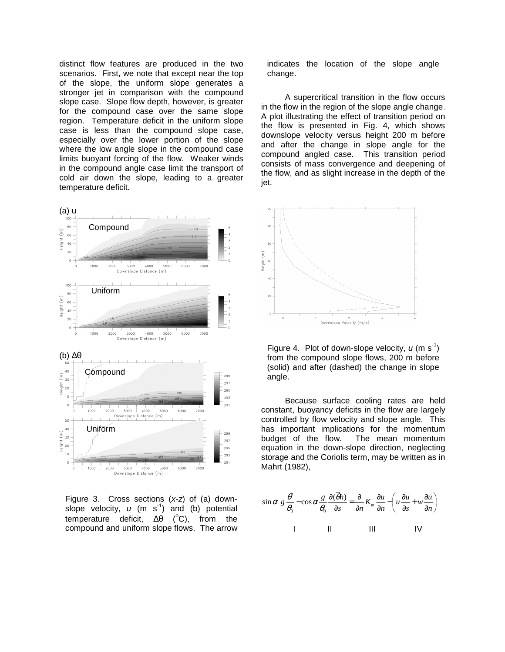distinct flow features are produced in the two scenarios. First, we note that except near the top of the slope, the uniform slope generates a stronger jet in comparison with the compound slope case. Slope flow depth, however, is greater for the compound case over the same slope region. Temperature deficit in the uniform slope case is less than the compound slope case, especially over the lower portion of the slope where the low angle slope in the compound case limits buoyant forcing of the flow. Weaker winds in the compound angle case limit the transport of cold air down the slope, leading to a greater temperature deficit.



Figure 3. Cross sections (x-z) of (a) downslope velocity,  $u$  (m s<sup>-1</sup>) and (b) potential temperature deficit,  $Δθ$  ( $°C$ ), from the compound and uniform slope flows. The arrow

indicates the location of the slope angle change.

A supercritical transition in the flow occurs in the flow in the region of the slope angle change. A plot illustrating the effect of transition period on the flow is presented in Fig. 4, which shows downslope velocity versus height 200 m before and after the change in slope angle for the compound angled case. This transition period consists of mass convergence and deepening of the flow, and as slight increase in the depth of the jet.



Figure 4. Plot of down-slope velocity,  $u$  (m s<sup>-1</sup>) from the compound slope flows, 200 m before (solid) and after (dashed) the change in slope angle.

Because surface cooling rates are held constant, buoyancy deficits in the flow are largely controlled by flow velocity and slope angle. This has important implications for the momentum budget of the flow. The mean momentum equation in the down-slope direction, neglecting storage and the Coriolis term, may be written as in Mahrt (1982),

$$
\sin \alpha \ g \frac{\theta'}{\theta_0} - \cos \alpha \frac{g}{\theta_0} \frac{\partial (\overline{\theta}h)}{\partial s} = \frac{\partial}{\partial n} K_m \frac{\partial u}{\partial n} - \left( u \frac{\partial u}{\partial s} + w \frac{\partial u}{\partial n} \right)
$$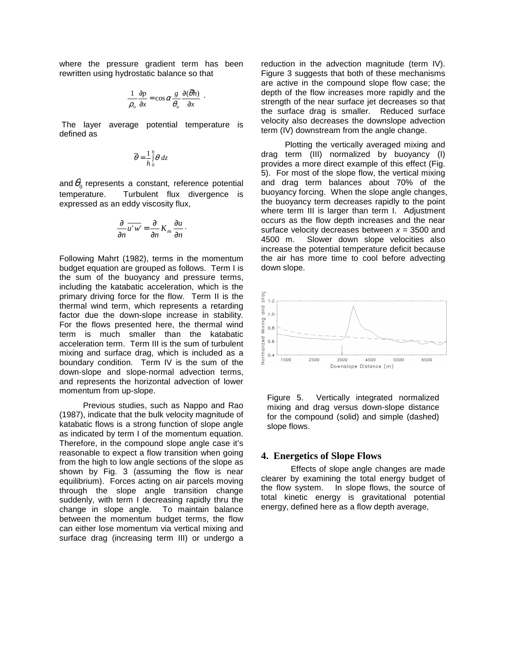where the pressure gradient term has been rewritten using hydrostatic balance so that

$$
\frac{1}{\rho_o} \frac{\partial p}{\partial x} = \cos \alpha \frac{g}{\theta_o} \frac{\partial (\overline{\theta} h)}{\partial x} .
$$

 The layer average potential temperature is defined as

$$
\overline{\theta} = \frac{1}{h} \int_0^h \theta \, dz
$$

and  $\theta_0$  represents a constant, reference potential temperature. Turbulent flux divergence is expressed as an eddy viscosity flux,

$$
\frac{\partial}{\partial n} \overline{u'w'} = \frac{\partial}{\partial n} K_m \frac{\partial u}{\partial n}.
$$

Following Mahrt (1982), terms in the momentum budget equation are grouped as follows. Term I is the sum of the buoyancy and pressure terms, including the katabatic acceleration, which is the primary driving force for the flow. Term II is the thermal wind term, which represents a retarding factor due the down-slope increase in stability. For the flows presented here, the thermal wind term is much smaller than the katabatic acceleration term. Term III is the sum of turbulent mixing and surface drag, which is included as a boundary condition. Term IV is the sum of the down-slope and slope-normal advection terms, and represents the horizontal advection of lower momentum from up-slope.

Previous studies, such as Nappo and Rao (1987), indicate that the bulk velocity magnitude of katabatic flows is a strong function of slope angle as indicated by term I of the momentum equation. Therefore, in the compound slope angle case it's reasonable to expect a flow transition when going from the high to low angle sections of the slope as shown by Fig. 3 (assuming the flow is near equilibrium). Forces acting on air parcels moving through the slope angle transition change suddenly, with term I decreasing rapidly thru the change in slope angle. To maintain balance between the momentum budget terms, the flow can either lose momentum via vertical mixing and surface drag (increasing term III) or undergo a reduction in the advection magnitude (term IV). Figure 3 suggests that both of these mechanisms are active in the compound slope flow case; the depth of the flow increases more rapidly and the strength of the near surface jet decreases so that the surface drag is smaller. Reduced surface velocity also decreases the downslope advection term (IV) downstream from the angle change.

Plotting the vertically averaged mixing and drag term (III) normalized by buoyancy (I) provides a more direct example of this effect (Fig. 5). For most of the slope flow, the vertical mixing and drag term balances about 70% of the buoyancy forcing. When the slope angle changes, the buoyancy term decreases rapidly to the point where term III is larger than term I. Adjustment occurs as the flow depth increases and the near surface velocity decreases between  $x = 3500$  and 4500 m. Slower down slope velocities also increase the potential temperature deficit because the air has more time to cool before advecting down slope.



Figure 5. Vertically integrated normalized mixing and drag versus down-slope distance for the compound (solid) and simple (dashed) slope flows.

#### **4. Energetics of Slope Flows**

Effects of slope angle changes are made clearer by examining the total energy budget of the flow system. In slope flows, the source of total kinetic energy is gravitational potential energy, defined here as a flow depth average,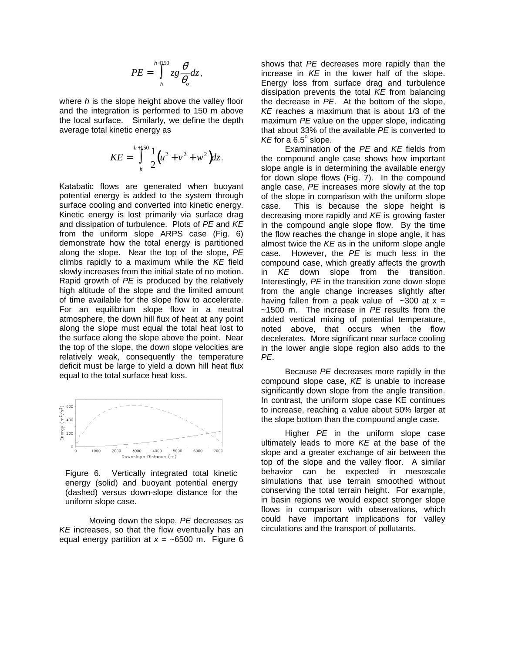$$
PE = \int_{h}^{h+150} zg \frac{\theta'}{\theta_o} dz,
$$

where  $h$  is the slope height above the valley floor and the integration is performed to 150 m above the local surface. Similarly, we define the depth average total kinetic energy as

$$
KE = \int_{h}^{h+1/50} \frac{1}{2} (u^2 + v^2 + w^2) dz.
$$

Katabatic flows are generated when buoyant potential energy is added to the system through surface cooling and converted into kinetic energy. Kinetic energy is lost primarily via surface drag and dissipation of turbulence. Plots of PE and KE from the uniform slope ARPS case (Fig. 6) demonstrate how the total energy is partitioned along the slope. Near the top of the slope, PE climbs rapidly to a maximum while the  $KE$  field slowly increases from the initial state of no motion. Rapid growth of PE is produced by the relatively high altitude of the slope and the limited amount of time available for the slope flow to accelerate. For an equilibrium slope flow in a neutral atmosphere, the down hill flux of heat at any point along the slope must equal the total heat lost to the surface along the slope above the point. Near the top of the slope, the down slope velocities are relatively weak, consequently the temperature deficit must be large to yield a down hill heat flux equal to the total surface heat loss.



Figure 6. Vertically integrated total kinetic energy (solid) and buoyant potential energy (dashed) versus down-slope distance for the uniform slope case.

 Moving down the slope, PE decreases as KE increases, so that the flow eventually has an equal energy partition at  $x = -6500$  m. Figure 6 shows that PE decreases more rapidly than the increase in  $KE$  in the lower half of the slope. Energy loss from surface drag and turbulence dissipation prevents the total  $KE$  from balancing the decrease in PE. At the bottom of the slope, KE reaches a maximum that is about 1/3 of the maximum PE value on the upper slope, indicating that about 33% of the available PE is converted to  $KE$  for a  $6.5^\circ$  slope.

Examination of the PE and KE fields from the compound angle case shows how important slope angle is in determining the available energy for down slope flows (Fig. 7). In the compound angle case, PE increases more slowly at the top of the slope in comparison with the uniform slope case. This is because the slope height is decreasing more rapidly and KE is growing faster in the compound angle slope flow. By the time the flow reaches the change in slope angle, it has almost twice the  $KE$  as in the uniform slope angle case. However, the PE is much less in the compound case, which greatly affects the growth in KE down slope from the transition. Interestingly, PE in the transition zone down slope from the angle change increases slightly after having fallen from a peak value of  $\sim$ 300 at x =  $~1500$  m. The increase in PE results from the added vertical mixing of potential temperature, noted above, that occurs when the flow decelerates. More significant near surface cooling in the lower angle slope region also adds to the PE.

Because PE decreases more rapidly in the compound slope case, KE is unable to increase significantly down slope from the angle transition. In contrast, the uniform slope case KE continues to increase, reaching a value about 50% larger at the slope bottom than the compound angle case.

Higher PE in the uniform slope case ultimately leads to more  $KE$  at the base of the slope and a greater exchange of air between the top of the slope and the valley floor. A similar behavior can be expected in mesoscale simulations that use terrain smoothed without conserving the total terrain height. For example, in basin regions we would expect stronger slope flows in comparison with observations, which could have important implications for valley circulations and the transport of pollutants.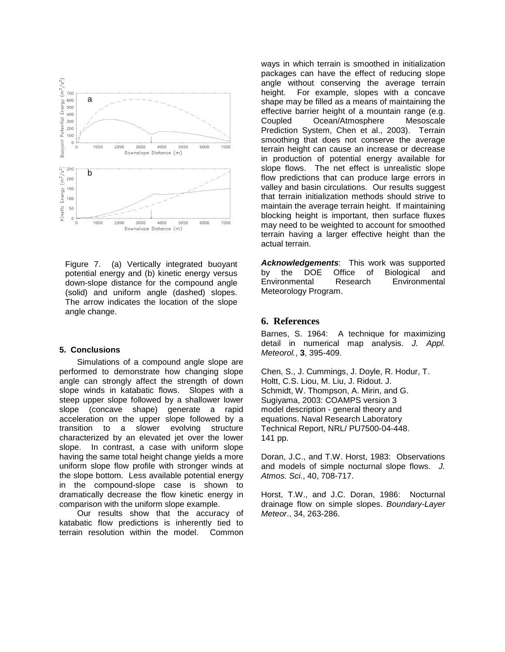

Figure 7. (a) Vertically integrated buoyant potential energy and (b) kinetic energy versus down-slope distance for the compound angle (solid) and uniform angle (dashed) slopes. The arrow indicates the location of the slope angle change.

#### **5. Conclusions**

Simulations of a compound angle slope are performed to demonstrate how changing slope angle can strongly affect the strength of down slope winds in katabatic flows. Slopes with a steep upper slope followed by a shallower lower slope (concave shape) generate a rapid acceleration on the upper slope followed by a transition to a slower evolving structure characterized by an elevated jet over the lower slope. In contrast, a case with uniform slope having the same total height change yields a more uniform slope flow profile with stronger winds at the slope bottom. Less available potential energy in the compound-slope case is shown to dramatically decrease the flow kinetic energy in comparison with the uniform slope example.

Our results show that the accuracy of katabatic flow predictions is inherently tied to terrain resolution within the model. Common ways in which terrain is smoothed in initialization packages can have the effect of reducing slope angle without conserving the average terrain height. For example, slopes with a concave shape may be filled as a means of maintaining the effective barrier height of a mountain range (e.g. Coupled Ocean/Atmosphere Mesoscale Prediction System, Chen et al., 2003). Terrain smoothing that does not conserve the average terrain height can cause an increase or decrease in production of potential energy available for slope flows. The net effect is unrealistic slope flow predictions that can produce large errors in valley and basin circulations. Our results suggest that terrain initialization methods should strive to maintain the average terrain height. If maintaining blocking height is important, then surface fluxes may need to be weighted to account for smoothed terrain having a larger effective height than the actual terrain.

**Acknowledgements**: This work was supported by the DOE Office of Biological and Environmental Research Environmental Meteorology Program.

#### **6. References**

Barnes, S. 1964: A technique for maximizing detail in numerical map analysis. J. Appl. Meteorol., **3**, 395-409.

Chen, S., J. Cummings, J. Doyle, R. Hodur, T. Holtt, C.S. Liou, M. Liu, J. Ridout. J. Schmidt, W. Thompson, A. Mirin, and G. Sugiyama, 2003: COAMPS version 3 model description - general theory and equations. Naval Research Laboratory Technical Report, NRL/ PU7500-04-448. 141 pp.

Doran, J.C., and T.W. Horst, 1983: Observations and models of simple nocturnal slope flows. J. Atmos. Sci., 40, 708-717.

Horst, T.W., and J.C. Doran, 1986: Nocturnal drainage flow on simple slopes. Boundary-Layer Meteor., 34, 263-286.